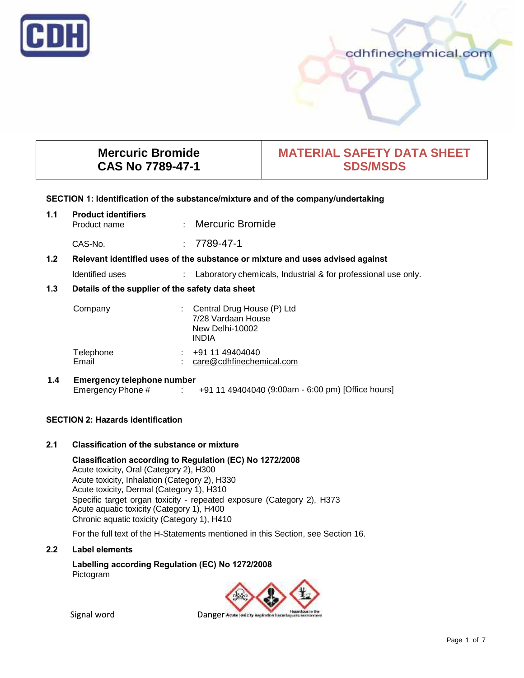

# cdhfinechemical.com

# **Mercuric Bromide CAS No 7789-47-1**

# **MATERIAL SAFETY DATA SHEET SDS/MSDS**

#### **SECTION 1: Identification of the substance/mixture and of the company/undertaking**

| 1.1 | <b>Product identifiers</b><br>Product name       | : Mercuric Bromide                                                               |
|-----|--------------------------------------------------|----------------------------------------------------------------------------------|
|     | CAS-No.                                          | $: 7789 - 47 - 1$                                                                |
| 1.2 |                                                  | Relevant identified uses of the substance or mixture and uses advised against    |
|     | Identified uses                                  | : Laboratory chemicals, Industrial & for professional use only.                  |
| 1.3 | Details of the supplier of the safety data sheet |                                                                                  |
|     | Company                                          | Central Drug House (P) Ltd<br>$7/00$ $\sqrt{a}$ $\sqrt{a}$ $\sqrt{a}$ $\sqrt{a}$ |

|                    | 7/28 Vardaan House<br>New Delhi-10002<br><b>INDIA</b> |  |
|--------------------|-------------------------------------------------------|--|
| Telephone<br>Email | $\div$ +91 11 49404040<br>care@cdhfinechemical.com    |  |

# **1.4 Emergency telephone number**

Emergency Phone # : +91 11 49404040 (9:00am - 6:00 pm) [Office hours]

# **SECTION 2: Hazards identification**

## **2.1 Classification of the substance or mixture**

**Classification according to Regulation (EC) No 1272/2008** Acute toxicity, Oral (Category 2), H300 Acute toxicity, Inhalation (Category 2), H330 Acute toxicity, Dermal (Category 1), H310 Specific target organ toxicity - repeated exposure (Category 2), H373 Acute aquatic toxicity (Category 1), H400 Chronic aquatic toxicity (Category 1), H410

For the full text of the H-Statements mentioned in this Section, see Section 16.

## **2.2 Label elements**

**Labelling according Regulation (EC) No 1272/2008** Pictogram

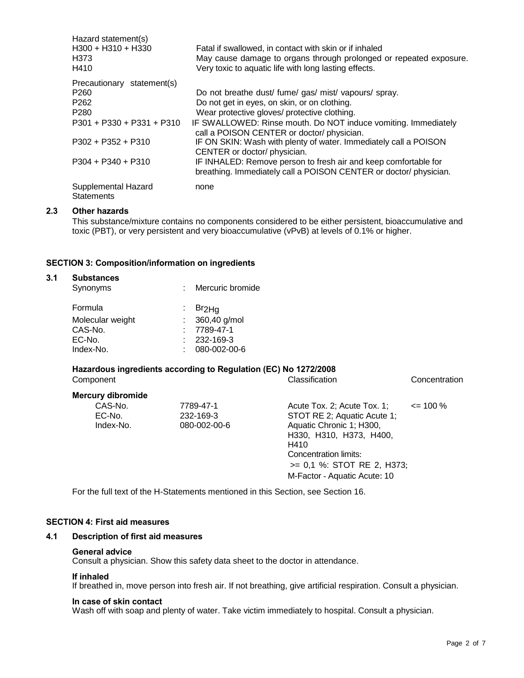| Hazard statement(s)         |                                                                    |
|-----------------------------|--------------------------------------------------------------------|
| H300 + H310 + H330          | Fatal if swallowed, in contact with skin or if inhaled             |
| H373                        | May cause damage to organs through prolonged or repeated exposure. |
| H410                        | Very toxic to aquatic life with long lasting effects.              |
| Precautionary statement(s)  |                                                                    |
| P <sub>260</sub>            | Do not breathe dust/ fume/ gas/ mist/ vapours/ spray.              |
| P <sub>262</sub>            | Do not get in eyes, on skin, or on clothing.                       |
| P <sub>280</sub>            | Wear protective gloves/ protective clothing.                       |
| $P301 + P330 + P331 + P310$ | IF SWALLOWED: Rinse mouth. Do NOT induce vomiting. Immediately     |
|                             | call a POISON CENTER or doctor/physician.                          |
| $P302 + P352 + P310$        | IF ON SKIN: Wash with plenty of water. Immediately call a POISON   |
|                             | CENTER or doctor/ physician.                                       |
| $P304 + P340 + P310$        | IF INHALED: Remove person to fresh air and keep comfortable for    |
|                             | breathing. Immediately call a POISON CENTER or doctor/physician.   |
| Supplemental Hazard         | none                                                               |
| <b>Statements</b>           |                                                                    |

#### **2.3 Other hazards**

This substance/mixture contains no components considered to be either persistent, bioaccumulative and toxic (PBT), or very persistent and very bioaccumulative (vPvB) at levels of 0.1% or higher.

#### **SECTION 3: Composition/information on ingredients**

| 3.1 | <b>Substances</b><br>Synonyms | Mercuric bromide        |  |
|-----|-------------------------------|-------------------------|--|
|     | Formula                       | Br <sub>2Hq</sub><br>÷. |  |
|     | Molecular weight              | 360,40 g/mol            |  |
|     | CAS-No.                       | 7789-47-1               |  |
|     | EC-No.                        | 232-169-3               |  |
|     | Index-No.                     | 080-002-00-6<br>٠       |  |
|     |                               |                         |  |

# **Hazardous ingredients according to Regulation (EC) No 1272/2008**

| Component                      |                                        | Classification                                                                                                                                                                                                   | Concentration |
|--------------------------------|----------------------------------------|------------------------------------------------------------------------------------------------------------------------------------------------------------------------------------------------------------------|---------------|
| <b>Mercury dibromide</b>       |                                        |                                                                                                                                                                                                                  |               |
| CAS-No.<br>EC-No.<br>Index-No. | 7789-47-1<br>232-169-3<br>080-002-00-6 | Acute Tox. 2; Acute Tox. 1;<br>STOT RE 2; Aquatic Acute 1;<br>Aquatic Chronic 1; H300,<br>H330, H310, H373, H400,<br>H410<br>Concentration limits:<br>>= 0,1 %: STOT RE 2, H373;<br>M-Factor - Aquatic Acute: 10 | $\leq$ 100 %  |

For the full text of the H-Statements mentioned in this Section, see Section 16.

#### **SECTION 4: First aid measures**

#### **4.1 Description of first aid measures**

#### **General advice**

Consult a physician. Show this safety data sheet to the doctor in attendance.

#### **If inhaled**

If breathed in, move person into fresh air. If not breathing, give artificial respiration. Consult a physician.

#### **In case of skin contact**

Wash off with soap and plenty of water. Take victim immediately to hospital. Consult a physician.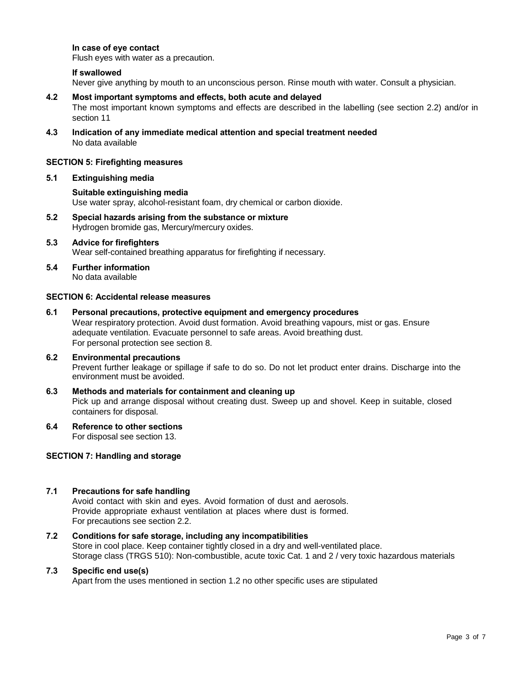### **In case of eye contact**

Flush eyes with water as a precaution.

#### **If swallowed**

Never give anything by mouth to an unconscious person. Rinse mouth with water. Consult a physician.

#### **4.2 Most important symptoms and effects, both acute and delayed**

The most important known symptoms and effects are described in the labelling (see section 2.2) and/or in section 11

**4.3 Indication of any immediate medical attention and special treatment needed** No data available

#### **SECTION 5: Firefighting measures**

#### **5.1 Extinguishing media**

# **Suitable extinguishing media** Use water spray, alcohol-resistant foam, dry chemical or carbon dioxide.

**5.2 Special hazards arising from the substance or mixture** Hydrogen bromide gas, Mercury/mercury oxides.

#### **5.3 Advice for firefighters** Wear self-contained breathing apparatus for firefighting if necessary.

**5.4 Further information** No data available

## **SECTION 6: Accidental release measures**

**6.1 Personal precautions, protective equipment and emergency procedures** Wear respiratory protection. Avoid dust formation. Avoid breathing vapours, mist or gas. Ensure adequate ventilation. Evacuate personnel to safe areas. Avoid breathing dust. For personal protection see section 8.

#### **6.2 Environmental precautions**

Prevent further leakage or spillage if safe to do so. Do not let product enter drains. Discharge into the environment must be avoided.

## **6.3 Methods and materials for containment and cleaning up** Pick up and arrange disposal without creating dust. Sweep up and shovel. Keep in suitable, closed containers for disposal.

**6.4 Reference to other sections**

For disposal see section 13.

#### **SECTION 7: Handling and storage**

#### **7.1 Precautions for safe handling**

Avoid contact with skin and eyes. Avoid formation of dust and aerosols. Provide appropriate exhaust ventilation at places where dust is formed. For precautions see section 2.2.

# **7.2 Conditions for safe storage, including any incompatibilities**

Store in cool place. Keep container tightly closed in a dry and well-ventilated place. Storage class (TRGS 510): Non-combustible, acute toxic Cat. 1 and 2 / very toxic hazardous materials

#### **7.3 Specific end use(s)**

Apart from the uses mentioned in section 1.2 no other specific uses are stipulated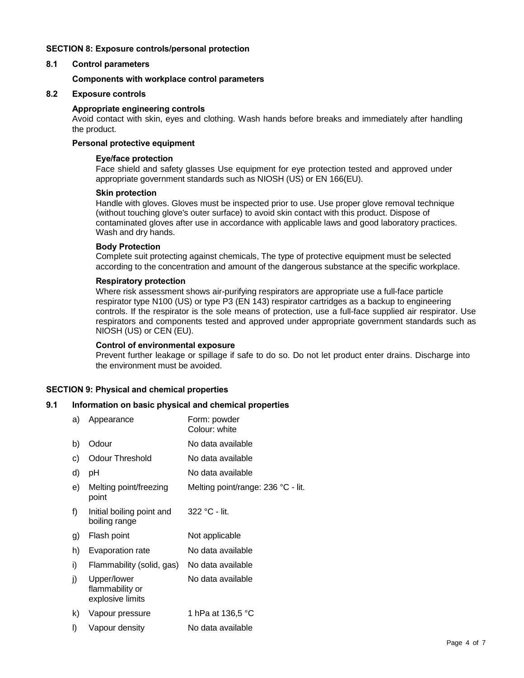## **SECTION 8: Exposure controls/personal protection**

## **8.1 Control parameters**

#### **Components with workplace control parameters**

## **8.2 Exposure controls**

#### **Appropriate engineering controls**

Avoid contact with skin, eyes and clothing. Wash hands before breaks and immediately after handling the product.

#### **Personal protective equipment**

#### **Eye/face protection**

Face shield and safety glasses Use equipment for eye protection tested and approved under appropriate government standards such as NIOSH (US) or EN 166(EU).

#### **Skin protection**

Handle with gloves. Gloves must be inspected prior to use. Use proper glove removal technique (without touching glove's outer surface) to avoid skin contact with this product. Dispose of contaminated gloves after use in accordance with applicable laws and good laboratory practices. Wash and dry hands.

## **Body Protection**

Complete suit protecting against chemicals, The type of protective equipment must be selected according to the concentration and amount of the dangerous substance at the specific workplace.

#### **Respiratory protection**

Where risk assessment shows air-purifying respirators are appropriate use a full-face particle respirator type N100 (US) or type P3 (EN 143) respirator cartridges as a backup to engineering controls. If the respirator is the sole means of protection, use a full-face supplied air respirator. Use respirators and components tested and approved under appropriate government standards such as NIOSH (US) or CEN (EU).

#### **Control of environmental exposure**

Prevent further leakage or spillage if safe to do so. Do not let product enter drains. Discharge into the environment must be avoided.

## **SECTION 9: Physical and chemical properties**

#### **9.1 Information on basic physical and chemical properties**

| a) | Appearance                                         | Form: powder<br>Colour: white      |
|----|----------------------------------------------------|------------------------------------|
| b) | Odour                                              | No data available                  |
| C) | Odour Threshold                                    | No data available                  |
| d) | рH                                                 | No data available                  |
| e) | Melting point/freezing<br>point                    | Melting point/range: 236 °C - lit. |
| f) | Initial boiling point and<br>boiling range         | $322 °C - lit.$                    |
| g) | Flash point                                        | Not applicable                     |
| h) | Evaporation rate                                   | No data available                  |
| i) | Flammability (solid, gas)                          | No data available                  |
| j) | Upper/lower<br>flammability or<br>explosive limits | No data available                  |
| k) | Vapour pressure                                    | 1 hPa at 136,5 °C                  |
| I) | Vapour density                                     | No data available                  |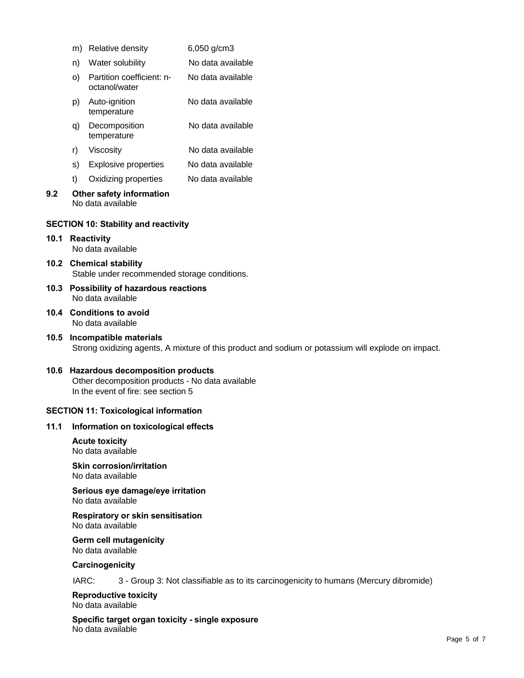|      | m)                                                                                                                               | Relative density                                                        | 6,050 g/cm3                                                                           |  |  |
|------|----------------------------------------------------------------------------------------------------------------------------------|-------------------------------------------------------------------------|---------------------------------------------------------------------------------------|--|--|
|      | n)                                                                                                                               | Water solubility                                                        | No data available                                                                     |  |  |
|      | O)                                                                                                                               | Partition coefficient: n-<br>octanol/water                              | No data available                                                                     |  |  |
|      | p)                                                                                                                               | Auto-ignition<br>temperature                                            | No data available                                                                     |  |  |
|      | q)                                                                                                                               | Decomposition<br>temperature                                            | No data available                                                                     |  |  |
|      | r)                                                                                                                               | Viscosity                                                               | No data available                                                                     |  |  |
|      | s)                                                                                                                               | <b>Explosive properties</b>                                             | No data available                                                                     |  |  |
|      | t)                                                                                                                               | Oxidizing properties                                                    | No data available                                                                     |  |  |
| 9.2  |                                                                                                                                  | Other safety information<br>No data available                           |                                                                                       |  |  |
|      |                                                                                                                                  | <b>SECTION 10: Stability and reactivity</b>                             |                                                                                       |  |  |
| 10.1 | <b>Reactivity</b><br>No data available                                                                                           |                                                                         |                                                                                       |  |  |
|      |                                                                                                                                  | 10.2 Chemical stability<br>Stable under recommended storage conditions. |                                                                                       |  |  |
| 10.3 | <b>Possibility of hazardous reactions</b><br>No data available                                                                   |                                                                         |                                                                                       |  |  |
|      | 10.4 Conditions to avoid<br>No data available                                                                                    |                                                                         |                                                                                       |  |  |
| 10.5 | Incompatible materials<br>Strong oxidizing agents, A mixture of this product and sodium or potassium will explode on impact.     |                                                                         |                                                                                       |  |  |
|      | 10.6 Hazardous decomposition products<br>Other decomposition products - No data available<br>In the event of fire: see section 5 |                                                                         |                                                                                       |  |  |
|      |                                                                                                                                  | <b>SECTION 11: Toxicological information</b>                            |                                                                                       |  |  |
| 11.1 |                                                                                                                                  | Information on toxicological effects                                    |                                                                                       |  |  |
|      |                                                                                                                                  | <b>Acute toxicity</b><br>No data available                              |                                                                                       |  |  |
|      | <b>Skin corrosion/irritation</b><br>No data available                                                                            |                                                                         |                                                                                       |  |  |
|      | Serious eye damage/eye irritation<br>No data available                                                                           |                                                                         |                                                                                       |  |  |
|      |                                                                                                                                  | Respiratory or skin sensitisation<br>No data available                  |                                                                                       |  |  |
|      |                                                                                                                                  | <b>Germ cell mutagenicity</b><br>No data available                      |                                                                                       |  |  |
|      | Carcinogenicity                                                                                                                  |                                                                         |                                                                                       |  |  |
|      | IARC:                                                                                                                            |                                                                         | 3 - Group 3: Not classifiable as to its carcinogenicity to humans (Mercury dibromide) |  |  |

**Reproductive toxicity** No data available

**Specific target organ toxicity - single exposure** No data available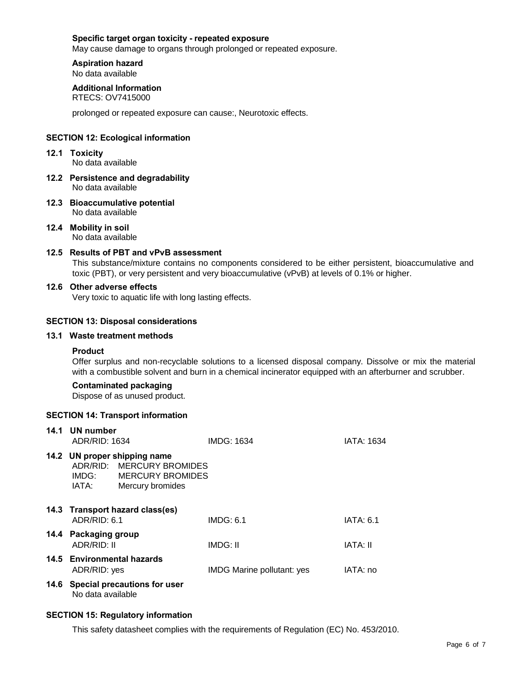#### **Specific target organ toxicity - repeated exposure**

May cause damage to organs through prolonged or repeated exposure.

#### **Aspiration hazard** No data available

# **Additional Information**

RTECS: OV7415000

prolonged or repeated exposure can cause:, Neurotoxic effects.

## **SECTION 12: Ecological information**

- **12.1 Toxicity** No data available
- **12.2 Persistence and degradability** No data available
- **12.3 Bioaccumulative potential** No data available
- **12.4 Mobility in soil** No data available

#### **12.5 Results of PBT and vPvB assessment**

This substance/mixture contains no components considered to be either persistent, bioaccumulative and toxic (PBT), or very persistent and very bioaccumulative (vPvB) at levels of 0.1% or higher.

#### **12.6 Other adverse effects**

Very toxic to aquatic life with long lasting effects.

#### **SECTION 13: Disposal considerations**

#### **13.1 Waste treatment methods**

#### **Product**

Offer surplus and non-recyclable solutions to a licensed disposal company. Dissolve or mix the material with a combustible solvent and burn in a chemical incinerator equipped with an afterburner and scrubber.

# **Contaminated packaging**

Dispose of as unused product.

#### **SECTION 14: Transport information**

| 14.1 | UN number<br>ADR/RID: 1634          |                                                                                                         | <b>IMDG: 1634</b>                 | IATA: 1634       |
|------|-------------------------------------|---------------------------------------------------------------------------------------------------------|-----------------------------------|------------------|
|      | IATA:                               | 14.2 UN proper shipping name<br>ADR/RID: MERCURY BROMIDES<br>IMDG: MERCURY BROMIDES<br>Mercury bromides |                                   |                  |
|      | ADR/RID: 6.1                        | 14.3 Transport hazard class(es)                                                                         | IMDG: 6.1                         | <b>IATA: 6.1</b> |
|      | 14.4 Packaging group<br>ADR/RID: II |                                                                                                         | IMDG: II                          | IATA: II         |
|      | ADR/RID: yes                        | 14.5 Environmental hazards                                                                              | <b>IMDG Marine pollutant: yes</b> | IATA: no         |
|      | No data available                   | 14.6 Special precautions for user                                                                       |                                   |                  |

# **SECTION 15: Regulatory information**

This safety datasheet complies with the requirements of Regulation (EC) No. 453/2010.